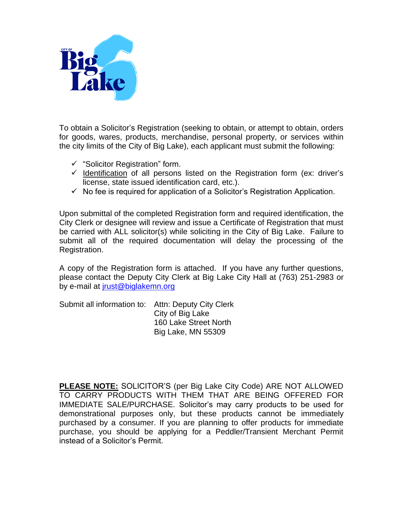

To obtain a Solicitor's Registration (seeking to obtain, or attempt to obtain, orders for goods, wares, products, merchandise, personal property, or services within the city limits of the City of Big Lake), each applicant must submit the following:

- $\checkmark$  "Solicitor Registration" form.
- $\checkmark$  Identification of all persons listed on the Registration form (ex: driver's license, state issued identification card, etc.).
- $\checkmark$  No fee is required for application of a Solicitor's Registration Application.

Upon submittal of the completed Registration form and required identification, the City Clerk or designee will review and issue a Certificate of Registration that must be carried with ALL solicitor(s) while soliciting in the City of Big Lake. Failure to submit all of the required documentation will delay the processing of the Registration.

A copy of the Registration form is attached. If you have any further questions, please contact the Deputy City Clerk at Big Lake City Hall at (763) 251-2983 or by e-mail at [jrust@biglakemn.org](mailto:jrust@biglakemn.org)

Submit all information to: Attn: Deputy City Clerk City of Big Lake 160 Lake Street North Big Lake, MN 55309

**PLEASE NOTE:** SOLICITOR'S (per Big Lake City Code) ARE NOT ALLOWED TO CARRY PRODUCTS WITH THEM THAT ARE BEING OFFERED FOR IMMEDIATE SALE/PURCHASE. Solicitor's may carry products to be used for demonstrational purposes only, but these products cannot be immediately purchased by a consumer. If you are planning to offer products for immediate purchase, you should be applying for a Peddler/Transient Merchant Permit instead of a Solicitor's Permit.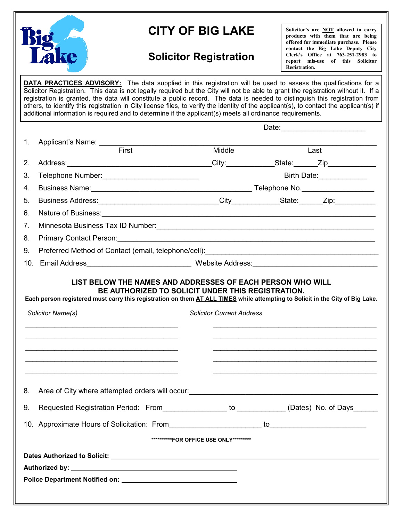

## **CITY OF BIG LAKE**

## **Solicitor Registration**

**Solicitor's are NOT allowed to carry products with them that are being offered for immediate purchase. Please contact the Big Lake Deputy City Clerk's Office at 763-251-2983 to report mis-use of this Solicitor Registration.**

**DATA PRACTICES ADVISORY:** The data supplied in this registration will be used to assess the qualifications for a Solicitor Registration. This data is not legally required but the City will not be able to grant the registration without it. If a registration is granted, the data will constitute a public record. The data is needed to distinguish this registration from others, to identify this registration in City license files, to verify the identity of the applicant(s), to contact the applicant(s) if additional information is required and to determine if the applicant(s) meets all ordinance requirements.

| 1.  |                                                                                                                                                                                                                                                                                                                                                                                                                                          |                                          |  |                  |  |  |  |
|-----|------------------------------------------------------------------------------------------------------------------------------------------------------------------------------------------------------------------------------------------------------------------------------------------------------------------------------------------------------------------------------------------------------------------------------------------|------------------------------------------|--|------------------|--|--|--|
|     | First                                                                                                                                                                                                                                                                                                                                                                                                                                    | Middle                                   |  | Last             |  |  |  |
| 2.  |                                                                                                                                                                                                                                                                                                                                                                                                                                          |                                          |  |                  |  |  |  |
| 3.  | Telephone Number: ____________________________                                                                                                                                                                                                                                                                                                                                                                                           |                                          |  | Birth Date: 1997 |  |  |  |
| 4.  |                                                                                                                                                                                                                                                                                                                                                                                                                                          |                                          |  |                  |  |  |  |
| 5.  |                                                                                                                                                                                                                                                                                                                                                                                                                                          |                                          |  |                  |  |  |  |
| 6.  |                                                                                                                                                                                                                                                                                                                                                                                                                                          |                                          |  |                  |  |  |  |
| 7.  |                                                                                                                                                                                                                                                                                                                                                                                                                                          |                                          |  |                  |  |  |  |
| 8.  | Primary Contact Person: <u>Contact Contact Person:</u> Contact Person: Contact Person: Contact Person: Contact Person:                                                                                                                                                                                                                                                                                                                   |                                          |  |                  |  |  |  |
| 9.  |                                                                                                                                                                                                                                                                                                                                                                                                                                          |                                          |  |                  |  |  |  |
| 10. |                                                                                                                                                                                                                                                                                                                                                                                                                                          |                                          |  |                  |  |  |  |
|     | BE AUTHORIZED TO SOLICIT UNDER THIS REGISTRATION.<br>Each person registered must carry this registration on them AT ALL TIMES while attempting to Solicit in the City of Big Lake.<br>Solicitor Name(s)<br>the control of the control of the control of the control of the control of the control of the control of the control of the control of the control of the control of the control of the control of the control of the control | <b>Solicitor Current Address</b>         |  |                  |  |  |  |
| 8.  | Area of City where attempted orders will occur:<br><u>Area of City where attempted orders will occur:</u>                                                                                                                                                                                                                                                                                                                                |                                          |  |                  |  |  |  |
| 9.  | Requested Registration Period: From 1997 (Dates) No. of Days                                                                                                                                                                                                                                                                                                                                                                             |                                          |  |                  |  |  |  |
|     |                                                                                                                                                                                                                                                                                                                                                                                                                                          |                                          |  |                  |  |  |  |
|     |                                                                                                                                                                                                                                                                                                                                                                                                                                          | ***********FOR OFFICE USE ONLY********** |  |                  |  |  |  |
|     |                                                                                                                                                                                                                                                                                                                                                                                                                                          |                                          |  |                  |  |  |  |
|     |                                                                                                                                                                                                                                                                                                                                                                                                                                          |                                          |  |                  |  |  |  |
|     |                                                                                                                                                                                                                                                                                                                                                                                                                                          |                                          |  |                  |  |  |  |
|     |                                                                                                                                                                                                                                                                                                                                                                                                                                          |                                          |  |                  |  |  |  |